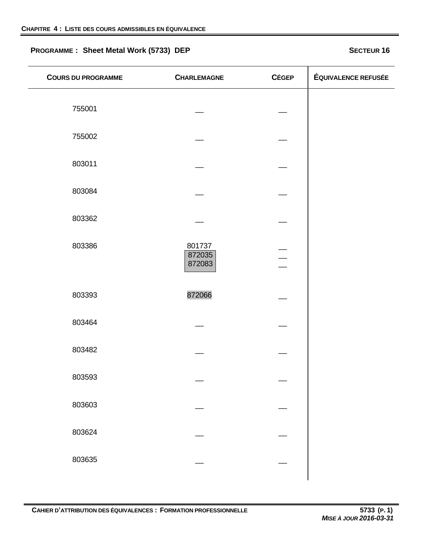# **PROGRAMME :** Sheet Metal Work (5733) DEP<br>**SECTEUR 16**

| <b>COURS DU PROGRAMME</b> | <b>CHARLEMAGNE</b>         | <b>CÉGEP</b> | ÉQUIVALENCE REFUSÉE |
|---------------------------|----------------------------|--------------|---------------------|
| 755001                    |                            |              |                     |
| 755002                    |                            |              |                     |
| 803011                    |                            |              |                     |
| 803084                    |                            |              |                     |
| 803362                    |                            |              |                     |
| 803386                    | 801737<br>872035<br>872083 |              |                     |
| 803393                    | 872066                     |              |                     |
| 803464                    |                            |              |                     |
| 803482                    |                            |              |                     |
| 803593                    |                            |              |                     |
| 803603                    |                            |              |                     |
| 803624                    |                            |              |                     |
| 803635                    |                            |              |                     |
|                           |                            |              |                     |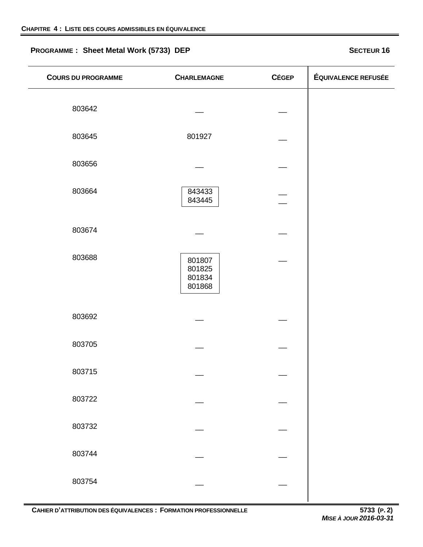# **PROGRAMME :** Sheet Metal Work (5733) DEP<br>**SECTEUR 16**

| <b>COURS DU PROGRAMME</b> | <b>CHARLEMAGNE</b>                   | <b>CÉGEP</b> | ÉQUIVALENCE REFUSÉE |
|---------------------------|--------------------------------------|--------------|---------------------|
| 803642                    |                                      |              |                     |
| 803645                    | 801927                               |              |                     |
| 803656                    |                                      |              |                     |
| 803664                    | 843433<br>843445                     |              |                     |
| 803674                    |                                      |              |                     |
| 803688                    | 801807<br>801825<br>801834<br>801868 |              |                     |
| 803692                    |                                      |              |                     |
| 803705                    |                                      |              |                     |
| 803715                    |                                      |              |                     |
| 803722                    |                                      |              |                     |
| 803732                    |                                      |              |                     |
| 803744                    |                                      |              |                     |
| 803754                    |                                      |              |                     |
|                           |                                      |              |                     |